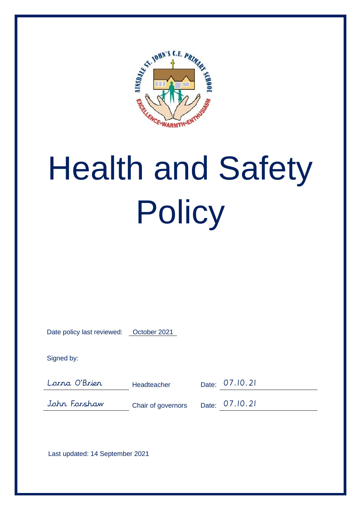

# Health and Safety **Policy**

| Date policy last reviewed: | October 2021 |
|----------------------------|--------------|
|                            |              |

Signed by:

Lorna O'Brien Headteacher Date: 07.10.21

John Forshaw Chair of governors Date: 07.10.21

Last updated: 14 September 2021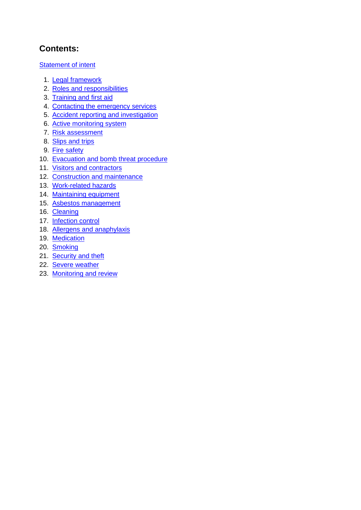# **Contents:**

Statement of intent

- 1. Legal framework
- 2. Roles and responsibilities
- 3. Training and first aid
- 4. Contacting the emergency services
- 5. Accident reporting and investigation
- 6. Active monitoring system
- 7. Risk assessment
- 8. Slips and trips
- 9. Fire safety
- 10. Evacuation and bomb threat procedure
- 11. Visitors and contractors
- 12. Construction and maintenance
- 13. Work-related hazards
- 14. Maintaining equipment
- 15. Asbestos management
- 16. Cleaning
- 17. Infection control
- 18. Allergens and anaphylaxis
- 19. Medication
- 20. Smoking
- 21. Security and theft
- 22. Severe weather
- 23. Monitoring and review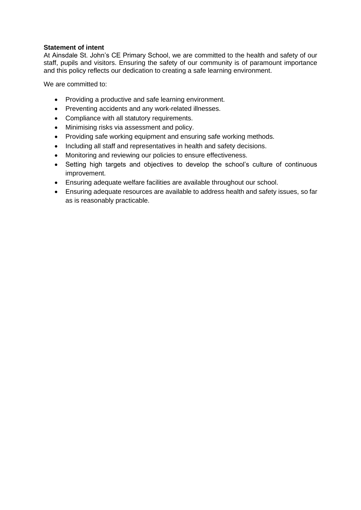#### **Statement of intent**

At Ainsdale St. John's CE Primary School, we are committed to the health and safety of our staff, pupils and visitors. Ensuring the safety of our community is of paramount importance and this policy reflects our dedication to creating a safe learning environment.

We are committed to:

- Providing a productive and safe learning environment.
- Preventing accidents and any work-related illnesses.
- Compliance with all statutory requirements.
- Minimising risks via assessment and policy.
- Providing safe working equipment and ensuring safe working methods.
- Including all staff and representatives in health and safety decisions.
- Monitoring and reviewing our policies to ensure effectiveness.
- Setting high targets and objectives to develop the school's culture of continuous improvement.
- Ensuring adequate welfare facilities are available throughout our school.
- Ensuring adequate resources are available to address health and safety issues, so far as is reasonably practicable.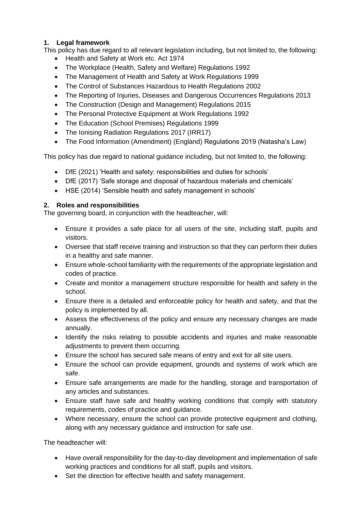# **1. Legal framework**

This policy has due regard to all relevant legislation including, but not limited to, the following:

- Health and Safety at Work etc. Act 1974
- The Workplace (Health, Safety and Welfare) Regulations 1992
- The Management of Health and Safety at Work Regulations 1999
- The Control of Substances Hazardous to Health Regulations 2002
- The Reporting of Injuries, Diseases and Dangerous Occurrences Regulations 2013
- The Construction (Design and Management) Regulations 2015
- The Personal Protective Equipment at Work Regulations 1992
- The Education (School Premises) Regulations 1999
- The Ionising Radiation Regulations 2017 (IRR17)
- The Food Information (Amendment) (England) Regulations 2019 (Natasha's Law)

This policy has due regard to national guidance including, but not limited to, the following:

- DfE (2021) 'Health and safety: responsibilities and duties for schools'
- DfE (2017) 'Safe storage and disposal of hazardous materials and chemicals'
- HSE (2014) 'Sensible health and safety management in schools'

# **2. Roles and responsibilities**

The governing board, in conjunction with the headteacher, will:

- Ensure it provides a safe place for all users of the site, including staff, pupils and visitors.
- Oversee that staff receive training and instruction so that they can perform their duties in a healthy and safe manner.
- Ensure whole-school familiarity with the requirements of the appropriate legislation and codes of practice.
- Create and monitor a management structure responsible for health and safety in the school.
- Ensure there is a detailed and enforceable policy for health and safety, and that the policy is implemented by all.
- Assess the effectiveness of the policy and ensure any necessary changes are made annually.
- Identify the risks relating to possible accidents and injuries and make reasonable adjustments to prevent them occurring.
- Ensure the school has secured safe means of entry and exit for all site users.
- Ensure the school can provide equipment, grounds and systems of work which are safe.
- Ensure safe arrangements are made for the handling, storage and transportation of any articles and substances.
- Ensure staff have safe and healthy working conditions that comply with statutory requirements, codes of practice and guidance.
- Where necessary, ensure the school can provide protective equipment and clothing, along with any necessary guidance and instruction for safe use.

The headteacher will:

- Have overall responsibility for the day-to-day development and implementation of safe working practices and conditions for all staff, pupils and visitors.
- Set the direction for effective health and safety management.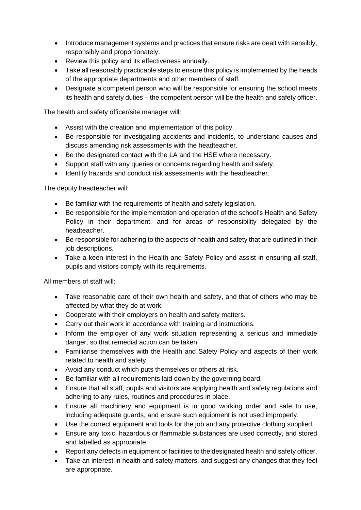- Introduce management systems and practices that ensure risks are dealt with sensibly, responsibly and proportionately.
- Review this policy and its effectiveness annually.
- Take all reasonably practicable steps to ensure this policy is implemented by the heads of the appropriate departments and other members of staff.
- Designate a competent person who will be responsible for ensuring the school meets its health and safety duties – the competent person will be the health and safety officer.

The health and safety officer/site manager will:

- Assist with the creation and implementation of this policy.
- Be responsible for investigating accidents and incidents, to understand causes and discuss amending risk assessments with the headteacher.
- Be the designated contact with the LA and the HSE where necessary.
- Support staff with any queries or concerns regarding health and safety.
- Identify hazards and conduct risk assessments with the headteacher.

The deputy headteacher will:

- Be familiar with the requirements of health and safety legislation.
- Be responsible for the implementation and operation of the school's Health and Safety Policy in their department, and for areas of responsibility delegated by the headteacher.
- Be responsible for adhering to the aspects of health and safety that are outlined in their job descriptions.
- Take a keen interest in the Health and Safety Policy and assist in ensuring all staff, pupils and visitors comply with its requirements.

All members of staff will:

- Take reasonable care of their own health and safety, and that of others who may be affected by what they do at work.
- Cooperate with their employers on health and safety matters.
- Carry out their work in accordance with training and instructions.
- Inform the employer of any work situation representing a serious and immediate danger, so that remedial action can be taken.
- Familiarise themselves with the Health and Safety Policy and aspects of their work related to health and safety.
- Avoid any conduct which puts themselves or others at risk.
- Be familiar with all requirements laid down by the governing board.
- Ensure that all staff, pupils and visitors are applying health and safety regulations and adhering to any rules, routines and procedures in place.
- Ensure all machinery and equipment is in good working order and safe to use, including adequate guards, and ensure such equipment is not used improperly.
- Use the correct equipment and tools for the job and any protective clothing supplied.
- Ensure any toxic, hazardous or flammable substances are used correctly, and stored and labelled as appropriate.
- Report any defects in equipment or facilities to the designated health and safety officer.
- Take an interest in health and safety matters, and suggest any changes that they feel are appropriate.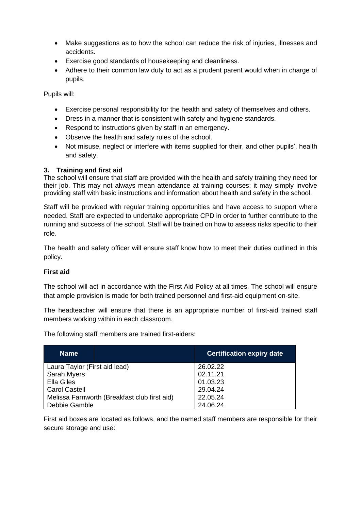- Make suggestions as to how the school can reduce the risk of injuries, illnesses and accidents.
- Exercise good standards of housekeeping and cleanliness.
- Adhere to their common law duty to act as a prudent parent would when in charge of pupils.

Pupils will:

- Exercise personal responsibility for the health and safety of themselves and others.
- Dress in a manner that is consistent with safety and hygiene standards.
- Respond to instructions given by staff in an emergency.
- Observe the health and safety rules of the school.
- Not misuse, neglect or interfere with items supplied for their, and other pupils', health and safety.

#### **3. Training and first aid**

The school will ensure that staff are provided with the health and safety training they need for their job. This may not always mean attendance at training courses; it may simply involve providing staff with basic instructions and information about health and safety in the school.

Staff will be provided with regular training opportunities and have access to support where needed. Staff are expected to undertake appropriate CPD in order to further contribute to the running and success of the school. Staff will be trained on how to assess risks specific to their role.

The health and safety officer will ensure staff know how to meet their duties outlined in this policy.

#### **First aid**

The school will act in accordance with the First Aid Policy at all times. The school will ensure that ample provision is made for both trained personnel and first-aid equipment on-site.

The headteacher will ensure that there is an appropriate number of first-aid trained staff members working within in each classroom.

The following staff members are trained first-aiders:

| <b>Name</b>                                  |  | <b>Certification expiry date</b> |
|----------------------------------------------|--|----------------------------------|
| Laura Taylor (First aid lead)                |  | 26.02.22                         |
| <b>Sarah Myers</b>                           |  | 02.11.21                         |
| <b>Ella Giles</b>                            |  | 01.03.23                         |
| <b>Carol Castell</b>                         |  | 29.04.24                         |
| Melissa Farnworth (Breakfast club first aid) |  | 22.05.24                         |
| Debbie Gamble                                |  | 24.06.24                         |

First aid boxes are located as follows, and the named staff members are responsible for their secure storage and use: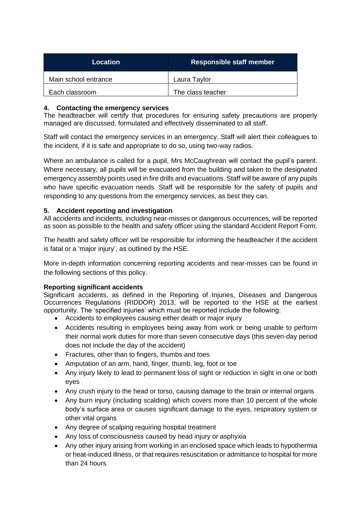| Location             | <b>Responsible staff member</b> |
|----------------------|---------------------------------|
| Main school entrance | Laura Taylor                    |
| Each classroom       | The class teacher               |

# **4. Contacting the emergency services**

The headteacher will certify that procedures for ensuring safety precautions are properly managed are discussed, formulated and effectively disseminated to all staff.

Staff will contact the emergency services in an emergency. Staff will alert their colleagues to the incident, if it is safe and appropriate to do so, using two-way radios.

Where an ambulance is called for a pupil, Mrs McCaughrean will contact the pupil's parent. Where necessary, all pupils will be evacuated from the building and taken to the designated emergency assembly points used in fire drills and evacuations. Staff will be aware of any pupils who have specific evacuation needs. Staff will be responsible for the safety of pupils and responding to any questions from the emergency services, as best they can.

## **5. Accident reporting and investigation**

All accidents and incidents, including near-misses or dangerous occurrences, will be reported as soon as possible to the health and safety officer using the standard Accident Report Form.

The health and safety officer will be responsible for informing the headteacher if the accident is fatal or a 'major injury', as outlined by the HSE.

More in-depth information concerning reporting accidents and near-misses can be found in the following sections of this policy.

#### **Reporting significant accidents**

Significant accidents, as defined in the Reporting of Injuries, Diseases and Dangerous Occurrences Regulations (RIDDOR) 2013, will be reported to the HSE at the earliest opportunity. The 'specified injuries' which must be reported include the following:

- Accidents to employees causing either death or major injury
- Accidents resulting in employees being away from work or being unable to perform their normal work duties for more than seven consecutive days (this seven-day period does not include the day of the accident)
- Fractures, other than to fingers, thumbs and toes
- Amputation of an arm, hand, finger, thumb, leg, foot or toe
- Any injury likely to lead to permanent loss of sight or reduction in sight in one or both eyes
- Any crush injury to the head or torso, causing damage to the brain or internal organs
- Any burn injury (including scalding) which covers more than 10 percent of the whole body's surface area or causes significant damage to the eyes, respiratory system or other vital organs
- Any degree of scalping requiring hospital treatment
- Any loss of consciousness caused by head injury or asphyxia
- Any other injury arising from working in an enclosed space which leads to hypothermia or heat-induced illness, or that requires resuscitation or admittance to hospital for more than 24 hours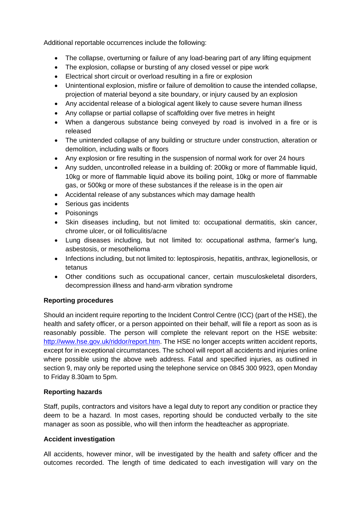Additional reportable occurrences include the following:

- The collapse, overturning or failure of any load-bearing part of any lifting equipment
- The explosion, collapse or bursting of any closed vessel or pipe work
- Electrical short circuit or overload resulting in a fire or explosion
- Unintentional explosion, misfire or failure of demolition to cause the intended collapse, projection of material beyond a site boundary, or injury caused by an explosion
- Any accidental release of a biological agent likely to cause severe human illness
- Any collapse or partial collapse of scaffolding over five metres in height
- When a dangerous substance being conveyed by road is involved in a fire or is released
- The unintended collapse of any building or structure under construction, alteration or demolition, including walls or floors
- Any explosion or fire resulting in the suspension of normal work for over 24 hours
- Any sudden, uncontrolled release in a building of: 200kg or more of flammable liquid, 10kg or more of flammable liquid above its boiling point, 10kg or more of flammable gas, or 500kg or more of these substances if the release is in the open air
- Accidental release of any substances which may damage health
- Serious gas incidents
- Poisonings
- Skin diseases including, but not limited to: occupational dermatitis, skin cancer, chrome ulcer, or oil folliculitis/acne
- Lung diseases including, but not limited to: occupational asthma, farmer's lung, asbestosis, or mesothelioma
- Infections including, but not limited to: leptospirosis, hepatitis, anthrax, legionellosis, or tetanus
- Other conditions such as occupational cancer, certain musculoskeletal disorders, decompression illness and hand-arm vibration syndrome

# **Reporting procedures**

Should an incident require reporting to the Incident Control Centre (ICC) (part of the HSE), the health and safety officer, or a person appointed on their behalf, will file a report as soon as is reasonably possible. The person will complete the relevant report on the HSE website: [http://www.hse.gov.uk/riddor/report.htm.](http://www.hse.gov.uk/riddor/report.htm) The HSE no longer accepts written accident reports, except for in exceptional circumstances. The school will report all accidents and injuries online where possible using the above web address. Fatal and specified injuries, as outlined in section 9, may only be reported using the telephone service on 0845 300 9923, open Monday to Friday 8.30am to 5pm.

# **Reporting hazards**

Staff, pupils, contractors and visitors have a legal duty to report any condition or practice they deem to be a hazard. In most cases, reporting should be conducted verbally to the site manager as soon as possible, who will then inform the headteacher as appropriate.

# **Accident investigation**

All accidents, however minor, will be investigated by the health and safety officer and the outcomes recorded. The length of time dedicated to each investigation will vary on the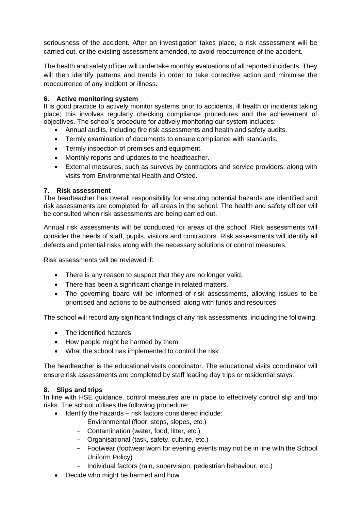seriousness of the accident. After an investigation takes place, a risk assessment will be carried out, or the existing assessment amended, to avoid reoccurrence of the accident.

The health and safety officer will undertake monthly evaluations of all reported incidents. They will then identify patterns and trends in order to take corrective action and minimise the reoccurrence of any incident or illness.

#### **6. Active monitoring system**

It is good practice to actively monitor systems prior to accidents, ill health or incidents taking place; this involves regularly checking compliance procedures and the achievement of objectives. The school's procedure for actively monitoring our system includes:

- Annual audits, including fire risk assessments and health and safety audits.
- Termly examination of documents to ensure compliance with standards.
- Termly inspection of premises and equipment.
- Monthly reports and updates to the headteacher.
- External measures, such as surveys by contractors and service providers, along with visits from Environmental Health and Ofsted.

#### **7. Risk assessment**

The headteacher has overall responsibility for ensuring potential hazards are identified and risk assessments are completed for all areas in the school. The health and safety officer will be consulted when risk assessments are being carried out.

Annual risk assessments will be conducted for areas of the school. Risk assessments will consider the needs of staff, pupils, visitors and contractors. Risk assessments will identify all defects and potential risks along with the necessary solutions or control measures.

Risk assessments will be reviewed if:

- There is any reason to suspect that they are no longer valid.
- There has been a significant change in related matters.
- The governing board will be informed of risk assessments, allowing issues to be prioritised and actions to be authorised, along with funds and resources.

The school will record any significant findings of any risk assessments, including the following:

- The identified hazards
- How people might be harmed by them
- What the school has implemented to control the risk

The headteacher is the educational visits coordinator. The educational visits coordinator will ensure risk assessments are completed by staff leading day trips or residential stays.

#### **8. Slips and trips**

In line with HSE guidance, control measures are in place to effectively control slip and trip risks. The school utilises the following procedure:

- Identify the hazards risk factors considered include:
	- Environmental (floor, steps, slopes, etc.)
	- Contamination (water, food, litter, etc.)
	- Organisational (task, safety, culture, etc.)
	- Footwear (footwear worn for evening events may not be in line with the School Uniform Policy)
	- Individual factors (rain, supervision, pedestrian behaviour, etc.)
- Decide who might be harmed and how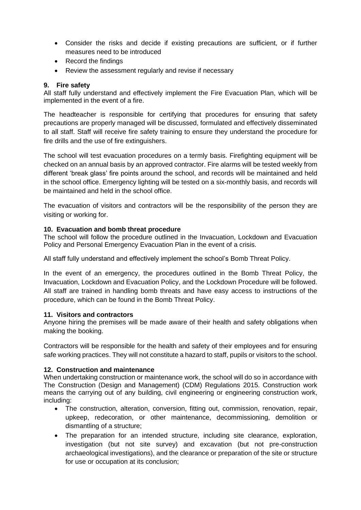- Consider the risks and decide if existing precautions are sufficient, or if further measures need to be introduced
- Record the findings
- Review the assessment regularly and revise if necessary

#### **9. Fire safety**

All staff fully understand and effectively implement the Fire Evacuation Plan, which will be implemented in the event of a fire.

The headteacher is responsible for certifying that procedures for ensuring that safety precautions are properly managed will be discussed, formulated and effectively disseminated to all staff. Staff will receive fire safety training to ensure they understand the procedure for fire drills and the use of fire extinguishers.

The school will test evacuation procedures on a termly basis. Firefighting equipment will be checked on an annual basis by an approved contractor. Fire alarms will be tested weekly from different 'break glass' fire points around the school, and records will be maintained and held in the school office. Emergency lighting will be tested on a six-monthly basis, and records will be maintained and held in the school office.

The evacuation of visitors and contractors will be the responsibility of the person they are visiting or working for.

#### **10. Evacuation and bomb threat procedure**

The school will follow the procedure outlined in the Invacuation, Lockdown and Evacuation Policy and Personal Emergency Evacuation Plan in the event of a crisis.

All staff fully understand and effectively implement the school's Bomb Threat Policy.

In the event of an emergency, the procedures outlined in the Bomb Threat Policy, the Invacuation, Lockdown and Evacuation Policy, and the Lockdown Procedure will be followed. All staff are trained in handling bomb threats and have easy access to instructions of the procedure, which can be found in the Bomb Threat Policy.

#### **11. Visitors and contractors**

Anyone hiring the premises will be made aware of their health and safety obligations when making the booking.

Contractors will be responsible for the health and safety of their employees and for ensuring safe working practices. They will not constitute a hazard to staff, pupils or visitors to the school.

#### **12. Construction and maintenance**

When undertaking construction or maintenance work, the school will do so in accordance with The Construction (Design and Management) (CDM) Regulations 2015. Construction work means the carrying out of any building, civil engineering or engineering construction work, including:

- The construction, alteration, conversion, fitting out, commission, renovation, repair, upkeep, redecoration, or other maintenance, decommissioning, demolition or dismantling of a structure;
- The preparation for an intended structure, including site clearance, exploration, investigation (but not site survey) and excavation (but not pre-construction archaeological investigations), and the clearance or preparation of the site or structure for use or occupation at its conclusion;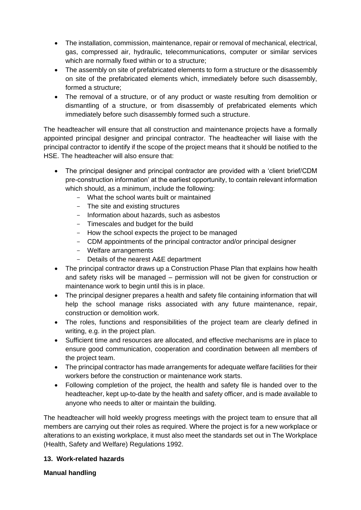- The installation, commission, maintenance, repair or removal of mechanical, electrical, gas, compressed air, hydraulic, telecommunications, computer or similar services which are normally fixed within or to a structure;
- The assembly on site of prefabricated elements to form a structure or the disassembly on site of the prefabricated elements which, immediately before such disassembly, formed a structure;
- The removal of a structure, or of any product or waste resulting from demolition or dismantling of a structure, or from disassembly of prefabricated elements which immediately before such disassembly formed such a structure.

The headteacher will ensure that all construction and maintenance projects have a formally appointed principal designer and principal contractor. The headteacher will liaise with the principal contractor to identify if the scope of the project means that it should be notified to the HSE. The headteacher will also ensure that:

- The principal designer and principal contractor are provided with a 'client brief/CDM pre-construction information' at the earliest opportunity, to contain relevant information which should, as a minimum, include the following:
	- What the school wants built or maintained
	- The site and existing structures
	- Information about hazards, such as asbestos
	- Timescales and budget for the build
	- How the school expects the project to be managed
	- CDM appointments of the principal contractor and/or principal designer
	- Welfare arrangements
	- Details of the nearest A&E department
- The principal contractor draws up a Construction Phase Plan that explains how health and safety risks will be managed – permission will not be given for construction or maintenance work to begin until this is in place.
- The principal designer prepares a health and safety file containing information that will help the school manage risks associated with any future maintenance, repair, construction or demolition work.
- The roles, functions and responsibilities of the project team are clearly defined in writing, e.g. in the project plan.
- Sufficient time and resources are allocated, and effective mechanisms are in place to ensure good communication, cooperation and coordination between all members of the project team.
- The principal contractor has made arrangements for adequate welfare facilities for their workers before the construction or maintenance work starts.
- Following completion of the project, the health and safety file is handed over to the headteacher, kept up-to-date by the health and safety officer, and is made available to anyone who needs to alter or maintain the building.

The headteacher will hold weekly progress meetings with the project team to ensure that all members are carrying out their roles as required. Where the project is for a new workplace or alterations to an existing workplace, it must also meet the standards set out in The Workplace (Health, Safety and Welfare) Regulations 1992.

# **13. Work-related hazards**

# **Manual handling**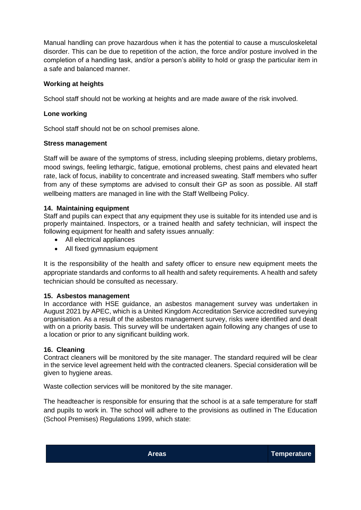Manual handling can prove hazardous when it has the potential to cause a musculoskeletal disorder. This can be due to repetition of the action, the force and/or posture involved in the completion of a handling task, and/or a person's ability to hold or grasp the particular item in a safe and balanced manner.

# **Working at heights**

School staff should not be working at heights and are made aware of the risk involved.

## **Lone working**

School staff should not be on school premises alone.

#### **Stress management**

Staff will be aware of the symptoms of stress, including sleeping problems, dietary problems, mood swings, feeling lethargic, fatigue, emotional problems, chest pains and elevated heart rate, lack of focus, inability to concentrate and increased sweating. Staff members who suffer from any of these symptoms are advised to consult their GP as soon as possible. All staff wellbeing matters are managed in line with the Staff Wellbeing Policy.

#### **14. Maintaining equipment**

Staff and pupils can expect that any equipment they use is suitable for its intended use and is properly maintained. Inspectors, or a trained health and safety technician, will inspect the following equipment for health and safety issues annually:

- All electrical appliances
- All fixed gymnasium equipment

It is the responsibility of the health and safety officer to ensure new equipment meets the appropriate standards and conforms to all health and safety requirements. A health and safety technician should be consulted as necessary.

#### **15. Asbestos management**

In accordance with HSE guidance, an asbestos management survey was undertaken in August 2021 by APEC, which is a United Kingdom Accreditation Service accredited surveying organisation. As a result of the asbestos management survey, risks were identified and dealt with on a priority basis. This survey will be undertaken again following any changes of use to a location or prior to any significant building work.

#### **16. Cleaning**

Contract cleaners will be monitored by the site manager. The standard required will be clear in the service level agreement held with the contracted cleaners. Special consideration will be given to hygiene areas.

Waste collection services will be monitored by the site manager.

The headteacher is responsible for ensuring that the school is at a safe temperature for staff and pupils to work in. The school will adhere to the provisions as outlined in The Education (School Premises) Regulations 1999, which state: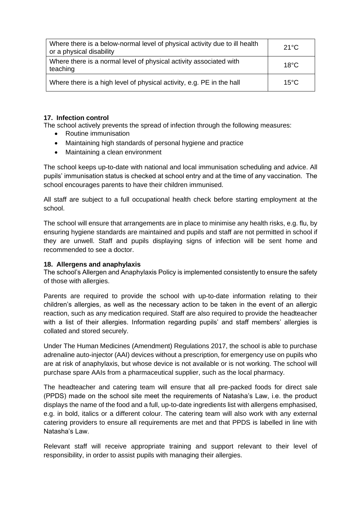| Where there is a below-normal level of physical activity due to ill health<br>or a physical disability | $21^{\circ}$ C |
|--------------------------------------------------------------------------------------------------------|----------------|
| Where there is a normal level of physical activity associated with<br>teaching                         | $18^{\circ}$ C |
| Where there is a high level of physical activity, e.g. PE in the hall                                  | $15^{\circ}$ C |

#### **17. Infection control**

The school actively prevents the spread of infection through the following measures:

- Routine immunisation
- Maintaining high standards of personal hygiene and practice
- Maintaining a clean environment

The school keeps up-to-date with national and local immunisation scheduling and advice. All pupils' immunisation status is checked at school entry and at the time of any vaccination. The school encourages parents to have their children immunised.

All staff are subject to a full occupational health check before starting employment at the school.

The school will ensure that arrangements are in place to minimise any health risks, e.g. flu, by ensuring hygiene standards are maintained and pupils and staff are not permitted in school if they are unwell. Staff and pupils displaying signs of infection will be sent home and recommended to see a doctor.

#### **18. Allergens and anaphylaxis**

The school's Allergen and Anaphylaxis Policy is implemented consistently to ensure the safety of those with allergies.

Parents are required to provide the school with up-to-date information relating to their children's allergies, as well as the necessary action to be taken in the event of an allergic reaction, such as any medication required. Staff are also required to provide the headteacher with a list of their allergies. Information regarding pupils' and staff members' allergies is collated and stored securely.

Under The Human Medicines (Amendment) Regulations 2017, the school is able to purchase adrenaline auto-injector (AAI) devices without a prescription, for emergency use on pupils who are at risk of anaphylaxis, but whose device is not available or is not working. The school will purchase spare AAIs from a pharmaceutical supplier, such as the local pharmacy.

The headteacher and catering team will ensure that all pre-packed foods for direct sale (PPDS) made on the school site meet the requirements of Natasha's Law, i.e. the product displays the name of the food and a full, up-to-date ingredients list with allergens emphasised, e.g. in bold, italics or a different colour. The catering team will also work with any external catering providers to ensure all requirements are met and that PPDS is labelled in line with Natasha's Law.

Relevant staff will receive appropriate training and support relevant to their level of responsibility, in order to assist pupils with managing their allergies.